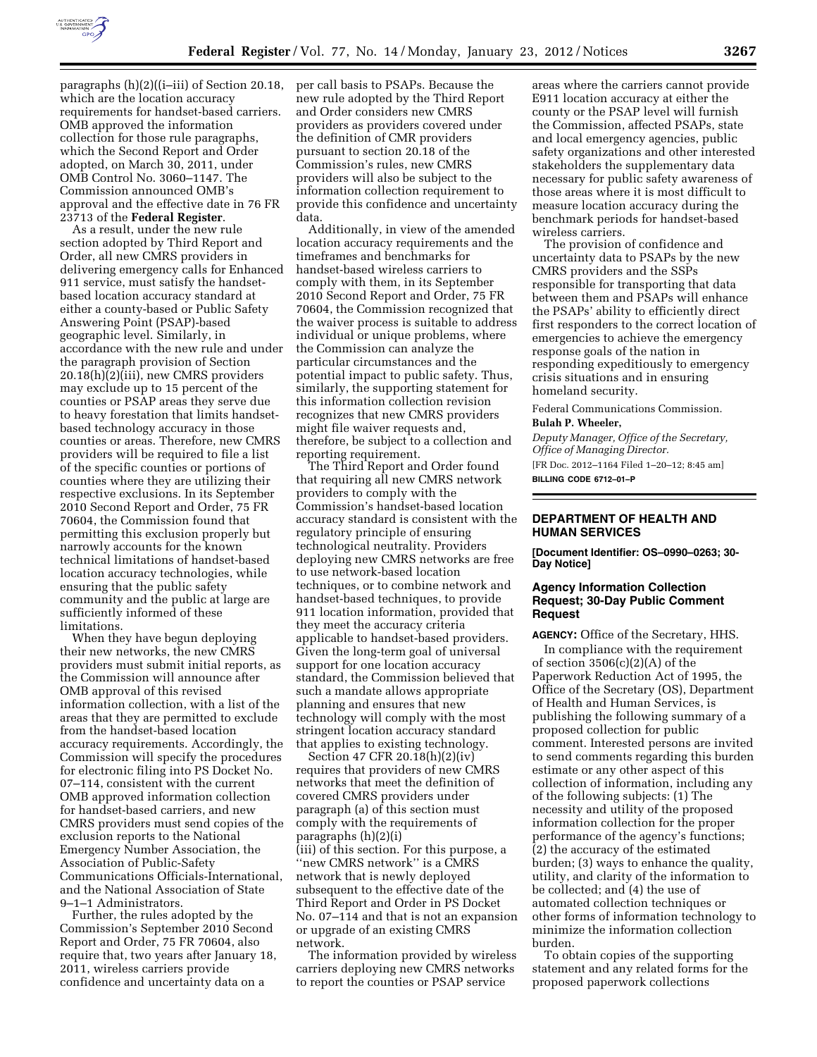

paragraphs (h)(2)((i–iii) of Section 20.18, which are the location accuracy requirements for handset-based carriers. OMB approved the information collection for those rule paragraphs, which the Second Report and Order adopted, on March 30, 2011, under OMB Control No. 3060–1147. The Commission announced OMB's approval and the effective date in 76 FR 23713 of the **Federal Register**.

As a result, under the new rule section adopted by Third Report and Order, all new CMRS providers in delivering emergency calls for Enhanced 911 service, must satisfy the handsetbased location accuracy standard at either a county-based or Public Safety Answering Point (PSAP)-based geographic level. Similarly, in accordance with the new rule and under the paragraph provision of Section 20.18(h)(2)(iii), new CMRS providers may exclude up to 15 percent of the counties or PSAP areas they serve due to heavy forestation that limits handsetbased technology accuracy in those counties or areas. Therefore, new CMRS providers will be required to file a list of the specific counties or portions of counties where they are utilizing their respective exclusions. In its September 2010 Second Report and Order, 75 FR 70604, the Commission found that permitting this exclusion properly but narrowly accounts for the known technical limitations of handset-based location accuracy technologies, while ensuring that the public safety community and the public at large are sufficiently informed of these limitations.

When they have begun deploying their new networks, the new CMRS providers must submit initial reports, as the Commission will announce after OMB approval of this revised information collection, with a list of the areas that they are permitted to exclude from the handset-based location accuracy requirements. Accordingly, the Commission will specify the procedures for electronic filing into PS Docket No. 07–114, consistent with the current OMB approved information collection for handset-based carriers, and new CMRS providers must send copies of the exclusion reports to the National Emergency Number Association, the Association of Public-Safety Communications Officials-International, and the National Association of State 9–1–1 Administrators.

Further, the rules adopted by the Commission's September 2010 Second Report and Order, 75 FR 70604, also require that, two years after January 18, 2011, wireless carriers provide confidence and uncertainty data on a

per call basis to PSAPs. Because the new rule adopted by the Third Report and Order considers new CMRS providers as providers covered under the definition of CMR providers pursuant to section 20.18 of the Commission's rules, new CMRS providers will also be subject to the information collection requirement to provide this confidence and uncertainty data.

Additionally, in view of the amended location accuracy requirements and the timeframes and benchmarks for handset-based wireless carriers to comply with them, in its September 2010 Second Report and Order, 75 FR 70604, the Commission recognized that the waiver process is suitable to address individual or unique problems, where the Commission can analyze the particular circumstances and the potential impact to public safety. Thus, similarly, the supporting statement for this information collection revision recognizes that new CMRS providers might file waiver requests and, therefore, be subject to a collection and reporting requirement.

The Third Report and Order found that requiring all new CMRS network providers to comply with the Commission's handset-based location accuracy standard is consistent with the regulatory principle of ensuring technological neutrality. Providers deploying new CMRS networks are free to use network-based location techniques, or to combine network and handset-based techniques, to provide 911 location information, provided that they meet the accuracy criteria applicable to handset-based providers. Given the long-term goal of universal support for one location accuracy standard, the Commission believed that such a mandate allows appropriate planning and ensures that new technology will comply with the most stringent location accuracy standard that applies to existing technology.

Section 47 CFR 20.18(h)(2)(iv) requires that providers of new CMRS networks that meet the definition of covered CMRS providers under paragraph (a) of this section must comply with the requirements of paragraphs (h)(2)(i) (iii) of this section. For this purpose, a ''new CMRS network'' is a CMRS network that is newly deployed subsequent to the effective date of the Third Report and Order in PS Docket No. 07–114 and that is not an expansion or upgrade of an existing CMRS network.

The information provided by wireless carriers deploying new CMRS networks to report the counties or PSAP service

areas where the carriers cannot provide E911 location accuracy at either the county or the PSAP level will furnish the Commission, affected PSAPs, state and local emergency agencies, public safety organizations and other interested stakeholders the supplementary data necessary for public safety awareness of those areas where it is most difficult to measure location accuracy during the benchmark periods for handset-based wireless carriers.

The provision of confidence and uncertainty data to PSAPs by the new CMRS providers and the SSPs responsible for transporting that data between them and PSAPs will enhance the PSAPs' ability to efficiently direct first responders to the correct location of emergencies to achieve the emergency response goals of the nation in responding expeditiously to emergency crisis situations and in ensuring homeland security.

Federal Communications Commission. **Bulah P. Wheeler,** 

*Deputy Manager, Office of the Secretary, Office of Managing Director.*  [FR Doc. 2012–1164 Filed 1–20–12; 8:45 am] **BILLING CODE 6712–01–P** 

### **DEPARTMENT OF HEALTH AND HUMAN SERVICES**

**[Document Identifier: OS–0990–0263; 30- Day Notice]** 

## **Agency Information Collection Request; 30-Day Public Comment Request**

**AGENCY:** Office of the Secretary, HHS.

In compliance with the requirement of section  $3506(c)(2)(A)$  of the Paperwork Reduction Act of 1995, the Office of the Secretary (OS), Department of Health and Human Services, is publishing the following summary of a proposed collection for public comment. Interested persons are invited to send comments regarding this burden estimate or any other aspect of this collection of information, including any of the following subjects: (1) The necessity and utility of the proposed information collection for the proper performance of the agency's functions; (2) the accuracy of the estimated burden; (3) ways to enhance the quality, utility, and clarity of the information to be collected; and (4) the use of automated collection techniques or other forms of information technology to minimize the information collection burden.

To obtain copies of the supporting statement and any related forms for the proposed paperwork collections